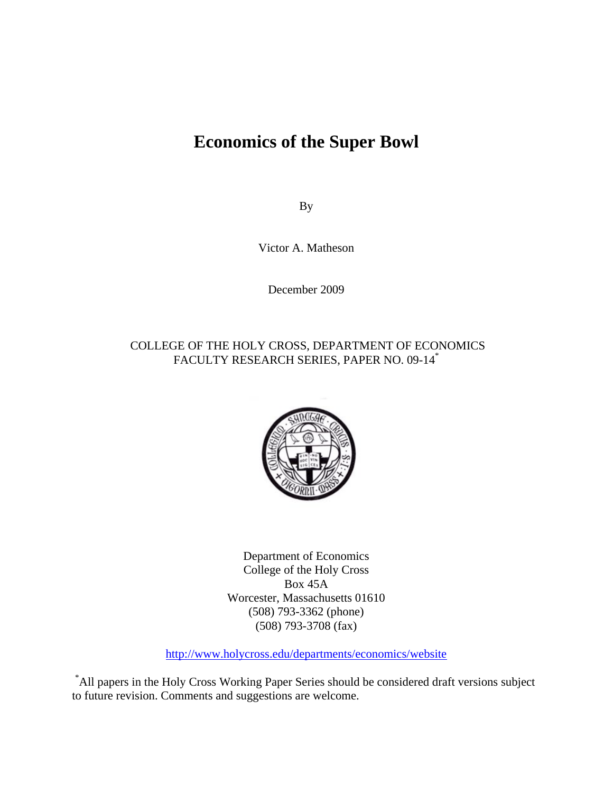# **Economics of the Super Bowl**

By

Victor A. Matheson

December 2009

### COLLEGE OF THE HOLY CROSS, DEPARTMENT OF ECONOMICS FACULTY RESEARCH SERIES, PAPER NO. 09-14\*



Department of Economics College of the Holy Cross Box 45A Worcester, Massachusetts 01610 (508) 793-3362 (phone) (508) 793-3708 (fax)

http://www.holycross.edu/departments/economics/website

\*All papers in the Holy Cross Working Paper Series should be considered draft versions subject to future revision. Comments and suggestions are welcome.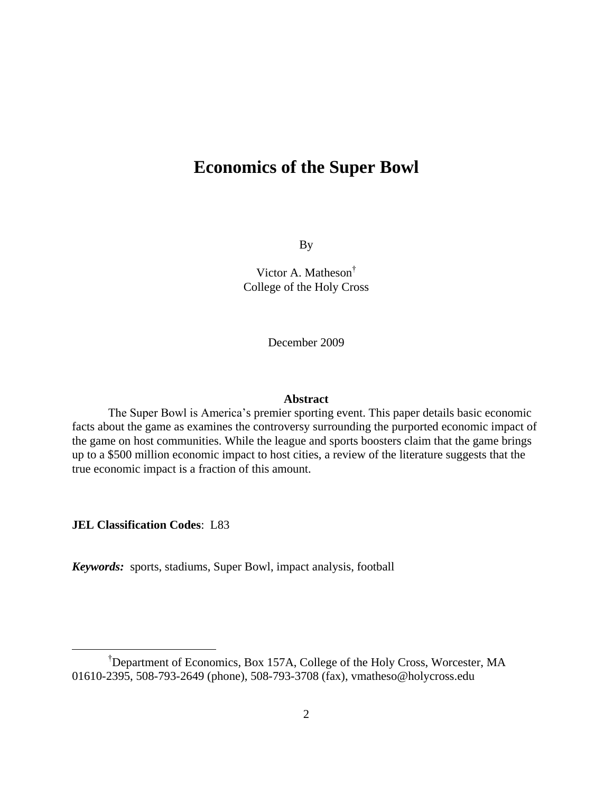## **Economics of the Super Bowl**

By

Victor A. Matheson† College of the Holy Cross

December 2009

#### **Abstract**

The Super Bowl is America"s premier sporting event. This paper details basic economic facts about the game as examines the controversy surrounding the purported economic impact of the game on host communities. While the league and sports boosters claim that the game brings up to a \$500 million economic impact to host cities, a review of the literature suggests that the true economic impact is a fraction of this amount.

**JEL Classification Codes**: L83

 $\overline{a}$ 

*Keywords:* sports, stadiums, Super Bowl, impact analysis, football

<sup>†</sup>Department of Economics, Box 157A, College of the Holy Cross, Worcester, MA 01610-2395, 508-793-2649 (phone), 508-793-3708 (fax), vmatheso@holycross.edu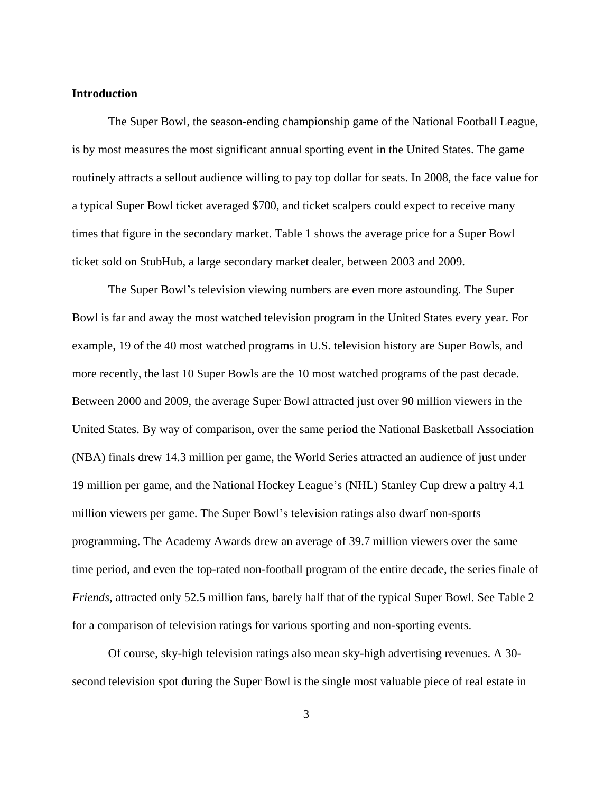### **Introduction**

The Super Bowl, the season-ending championship game of the National Football League, is by most measures the most significant annual sporting event in the United States. The game routinely attracts a sellout audience willing to pay top dollar for seats. In 2008, the face value for a typical Super Bowl ticket averaged \$700, and ticket scalpers could expect to receive many times that figure in the secondary market. Table 1 shows the average price for a Super Bowl ticket sold on StubHub, a large secondary market dealer, between 2003 and 2009.

The Super Bowl"s television viewing numbers are even more astounding. The Super Bowl is far and away the most watched television program in the United States every year. For example, 19 of the 40 most watched programs in U.S. television history are Super Bowls, and more recently, the last 10 Super Bowls are the 10 most watched programs of the past decade. Between 2000 and 2009, the average Super Bowl attracted just over 90 million viewers in the United States. By way of comparison, over the same period the National Basketball Association (NBA) finals drew 14.3 million per game, the World Series attracted an audience of just under 19 million per game, and the National Hockey League"s (NHL) Stanley Cup drew a paltry 4.1 million viewers per game. The Super Bowl"s television ratings also dwarf non-sports programming. The Academy Awards drew an average of 39.7 million viewers over the same time period, and even the top-rated non-football program of the entire decade, the series finale of *Friends*, attracted only 52.5 million fans, barely half that of the typical Super Bowl. See Table 2 for a comparison of television ratings for various sporting and non-sporting events.

Of course, sky-high television ratings also mean sky-high advertising revenues. A 30 second television spot during the Super Bowl is the single most valuable piece of real estate in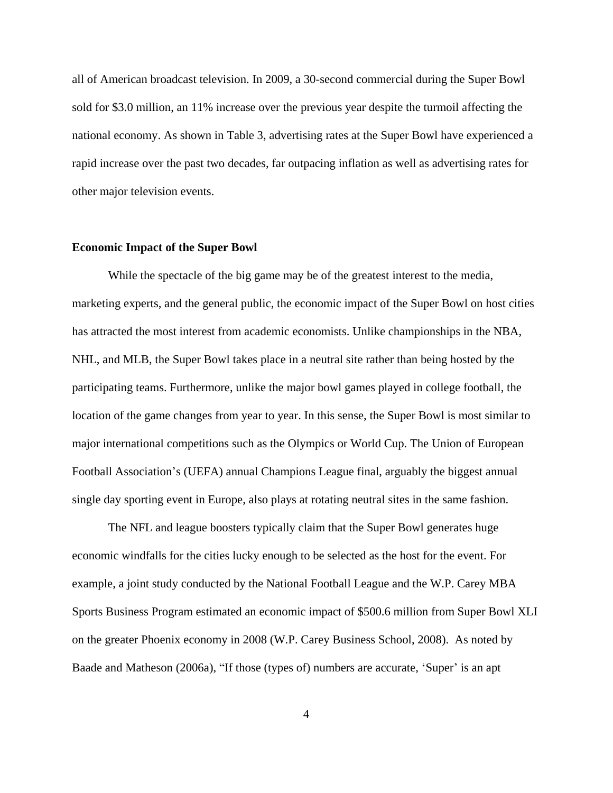all of American broadcast television. In 2009, a 30-second commercial during the Super Bowl sold for \$3.0 million, an 11% increase over the previous year despite the turmoil affecting the national economy. As shown in Table 3, advertising rates at the Super Bowl have experienced a rapid increase over the past two decades, far outpacing inflation as well as advertising rates for other major television events.

#### **Economic Impact of the Super Bowl**

While the spectacle of the big game may be of the greatest interest to the media, marketing experts, and the general public, the economic impact of the Super Bowl on host cities has attracted the most interest from academic economists. Unlike championships in the NBA, NHL, and MLB, the Super Bowl takes place in a neutral site rather than being hosted by the participating teams. Furthermore, unlike the major bowl games played in college football, the location of the game changes from year to year. In this sense, the Super Bowl is most similar to major international competitions such as the Olympics or World Cup. The Union of European Football Association"s (UEFA) annual Champions League final, arguably the biggest annual single day sporting event in Europe, also plays at rotating neutral sites in the same fashion.

The NFL and league boosters typically claim that the Super Bowl generates huge economic windfalls for the cities lucky enough to be selected as the host for the event. For example, a joint study conducted by the National Football League and the W.P. Carey MBA Sports Business Program estimated an economic impact of \$500.6 million from Super Bowl XLI on the greater Phoenix economy in 2008 (W.P. Carey Business School, 2008). As noted by Baade and Matheson (2006a), "If those (types of) numbers are accurate, 'Super' is an apt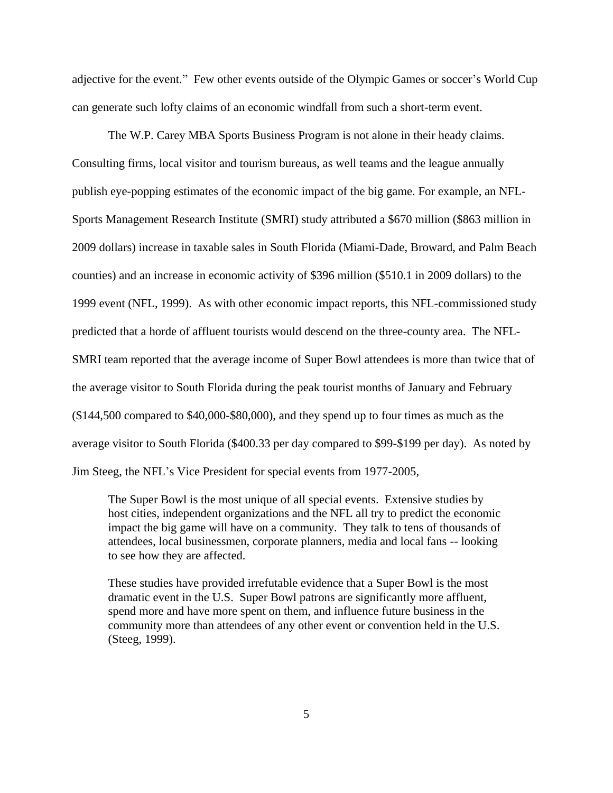adjective for the event." Few other events outside of the Olympic Games or soccer"s World Cup can generate such lofty claims of an economic windfall from such a short-term event.

The W.P. Carey MBA Sports Business Program is not alone in their heady claims. Consulting firms, local visitor and tourism bureaus, as well teams and the league annually publish eye-popping estimates of the economic impact of the big game. For example, an NFL-Sports Management Research Institute (SMRI) study attributed a \$670 million (\$863 million in 2009 dollars) increase in taxable sales in South Florida (Miami-Dade, Broward, and Palm Beach counties) and an increase in economic activity of \$396 million (\$510.1 in 2009 dollars) to the 1999 event (NFL, 1999). As with other economic impact reports, this NFL-commissioned study predicted that a horde of affluent tourists would descend on the three-county area. The NFL-SMRI team reported that the average income of Super Bowl attendees is more than twice that of the average visitor to South Florida during the peak tourist months of January and February (\$144,500 compared to \$40,000-\$80,000), and they spend up to four times as much as the average visitor to South Florida (\$400.33 per day compared to \$99-\$199 per day). As noted by Jim Steeg, the NFL"s Vice President for special events from 1977-2005,

The Super Bowl is the most unique of all special events. Extensive studies by host cities, independent organizations and the NFL all try to predict the economic impact the big game will have on a community. They talk to tens of thousands of attendees, local businessmen, corporate planners, media and local fans -- looking to see how they are affected.

These studies have provided irrefutable evidence that a Super Bowl is the most dramatic event in the U.S. Super Bowl patrons are significantly more affluent, spend more and have more spent on them, and influence future business in the community more than attendees of any other event or convention held in the U.S. (Steeg, 1999).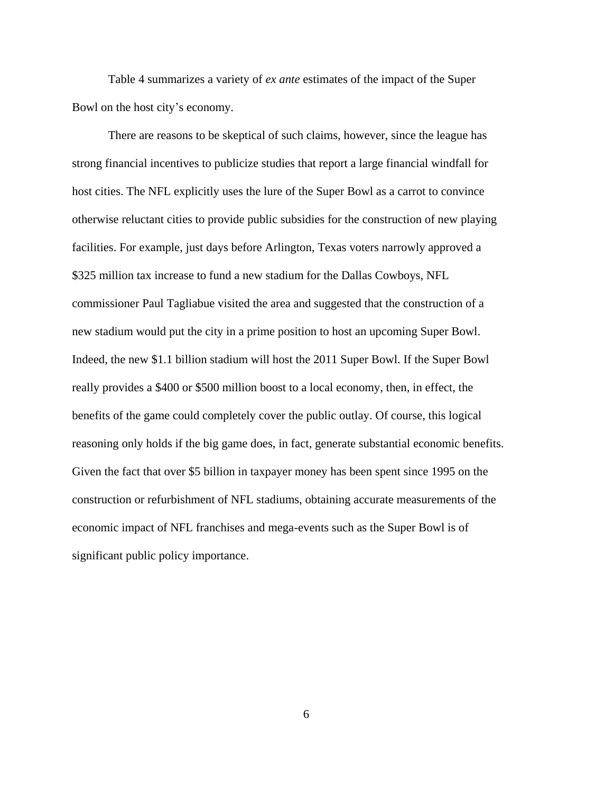Table 4 summarizes a variety of *ex ante* estimates of the impact of the Super Bowl on the host city"s economy.

There are reasons to be skeptical of such claims, however, since the league has strong financial incentives to publicize studies that report a large financial windfall for host cities. The NFL explicitly uses the lure of the Super Bowl as a carrot to convince otherwise reluctant cities to provide public subsidies for the construction of new playing facilities. For example, just days before Arlington, Texas voters narrowly approved a \$325 million tax increase to fund a new stadium for the Dallas Cowboys, NFL commissioner Paul Tagliabue visited the area and suggested that the construction of a new stadium would put the city in a prime position to host an upcoming Super Bowl. Indeed, the new \$1.1 billion stadium will host the 2011 Super Bowl. If the Super Bowl really provides a \$400 or \$500 million boost to a local economy, then, in effect, the benefits of the game could completely cover the public outlay. Of course, this logical reasoning only holds if the big game does, in fact, generate substantial economic benefits. Given the fact that over \$5 billion in taxpayer money has been spent since 1995 on the construction or refurbishment of NFL stadiums, obtaining accurate measurements of the economic impact of NFL franchises and mega-events such as the Super Bowl is of significant public policy importance.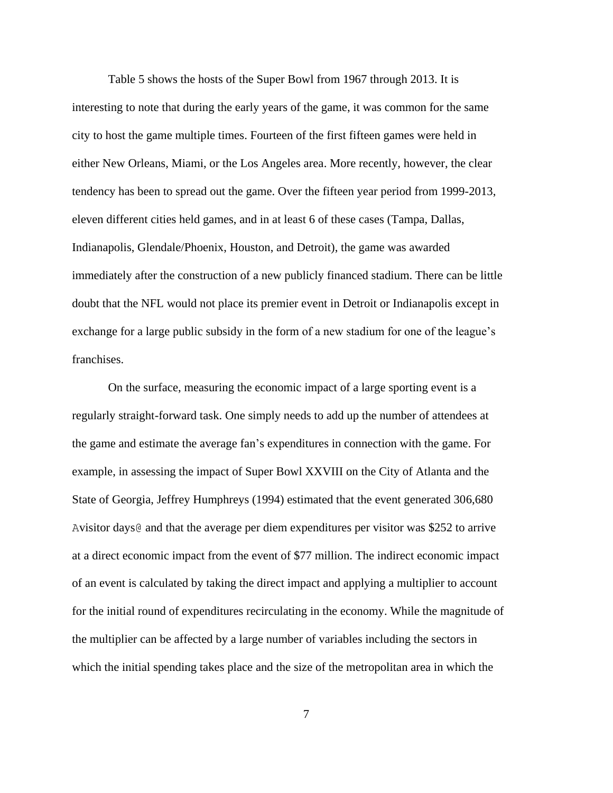Table 5 shows the hosts of the Super Bowl from 1967 through 2013. It is interesting to note that during the early years of the game, it was common for the same city to host the game multiple times. Fourteen of the first fifteen games were held in either New Orleans, Miami, or the Los Angeles area. More recently, however, the clear tendency has been to spread out the game. Over the fifteen year period from 1999-2013, eleven different cities held games, and in at least 6 of these cases (Tampa, Dallas, Indianapolis, Glendale/Phoenix, Houston, and Detroit), the game was awarded immediately after the construction of a new publicly financed stadium. There can be little doubt that the NFL would not place its premier event in Detroit or Indianapolis except in exchange for a large public subsidy in the form of a new stadium for one of the league"s franchises.

On the surface, measuring the economic impact of a large sporting event is a regularly straight-forward task. One simply needs to add up the number of attendees at the game and estimate the average fan"s expenditures in connection with the game. For example, in assessing the impact of Super Bowl XXVIII on the City of Atlanta and the State of Georgia, Jeffrey Humphreys (1994) estimated that the event generated 306,680 Avisitor days@ and that the average per diem expenditures per visitor was \$252 to arrive at a direct economic impact from the event of \$77 million. The indirect economic impact of an event is calculated by taking the direct impact and applying a multiplier to account for the initial round of expenditures recirculating in the economy. While the magnitude of the multiplier can be affected by a large number of variables including the sectors in which the initial spending takes place and the size of the metropolitan area in which the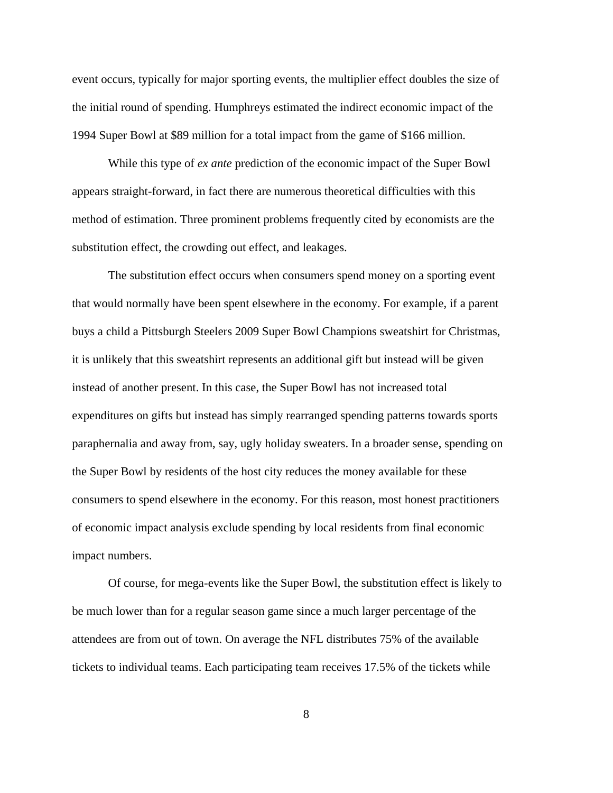event occurs, typically for major sporting events, the multiplier effect doubles the size of the initial round of spending. Humphreys estimated the indirect economic impact of the 1994 Super Bowl at \$89 million for a total impact from the game of \$166 million.

While this type of *ex ante* prediction of the economic impact of the Super Bowl appears straight-forward, in fact there are numerous theoretical difficulties with this method of estimation. Three prominent problems frequently cited by economists are the substitution effect, the crowding out effect, and leakages.

The substitution effect occurs when consumers spend money on a sporting event that would normally have been spent elsewhere in the economy. For example, if a parent buys a child a Pittsburgh Steelers 2009 Super Bowl Champions sweatshirt for Christmas, it is unlikely that this sweatshirt represents an additional gift but instead will be given instead of another present. In this case, the Super Bowl has not increased total expenditures on gifts but instead has simply rearranged spending patterns towards sports paraphernalia and away from, say, ugly holiday sweaters. In a broader sense, spending on the Super Bowl by residents of the host city reduces the money available for these consumers to spend elsewhere in the economy. For this reason, most honest practitioners of economic impact analysis exclude spending by local residents from final economic impact numbers.

Of course, for mega-events like the Super Bowl, the substitution effect is likely to be much lower than for a regular season game since a much larger percentage of the attendees are from out of town. On average the NFL distributes 75% of the available tickets to individual teams. Each participating team receives 17.5% of the tickets while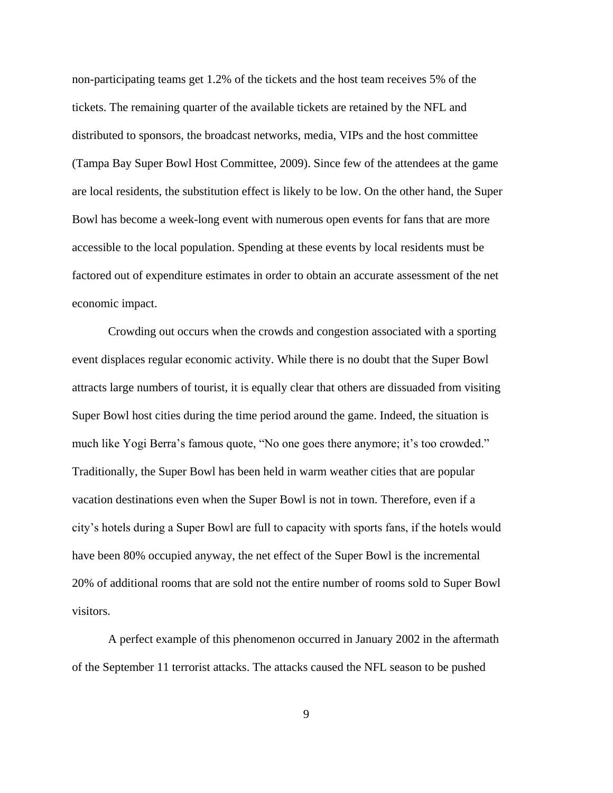non-participating teams get 1.2% of the tickets and the host team receives 5% of the tickets. The remaining quarter of the available tickets are retained by the NFL and distributed to sponsors, the broadcast networks, media, VIPs and the host committee (Tampa Bay Super Bowl Host Committee, 2009). Since few of the attendees at the game are local residents, the substitution effect is likely to be low. On the other hand, the Super Bowl has become a week-long event with numerous open events for fans that are more accessible to the local population. Spending at these events by local residents must be factored out of expenditure estimates in order to obtain an accurate assessment of the net economic impact.

Crowding out occurs when the crowds and congestion associated with a sporting event displaces regular economic activity. While there is no doubt that the Super Bowl attracts large numbers of tourist, it is equally clear that others are dissuaded from visiting Super Bowl host cities during the time period around the game. Indeed, the situation is much like Yogi Berra's famous quote, "No one goes there anymore; it's too crowded." Traditionally, the Super Bowl has been held in warm weather cities that are popular vacation destinations even when the Super Bowl is not in town. Therefore, even if a city"s hotels during a Super Bowl are full to capacity with sports fans, if the hotels would have been 80% occupied anyway, the net effect of the Super Bowl is the incremental 20% of additional rooms that are sold not the entire number of rooms sold to Super Bowl visitors.

A perfect example of this phenomenon occurred in January 2002 in the aftermath of the September 11 terrorist attacks. The attacks caused the NFL season to be pushed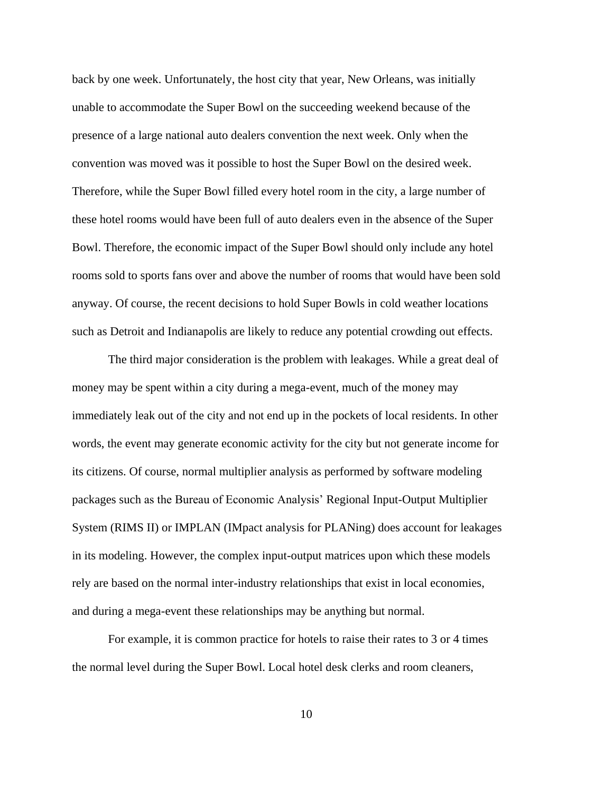back by one week. Unfortunately, the host city that year, New Orleans, was initially unable to accommodate the Super Bowl on the succeeding weekend because of the presence of a large national auto dealers convention the next week. Only when the convention was moved was it possible to host the Super Bowl on the desired week. Therefore, while the Super Bowl filled every hotel room in the city, a large number of these hotel rooms would have been full of auto dealers even in the absence of the Super Bowl. Therefore, the economic impact of the Super Bowl should only include any hotel rooms sold to sports fans over and above the number of rooms that would have been sold anyway. Of course, the recent decisions to hold Super Bowls in cold weather locations such as Detroit and Indianapolis are likely to reduce any potential crowding out effects.

The third major consideration is the problem with leakages. While a great deal of money may be spent within a city during a mega-event, much of the money may immediately leak out of the city and not end up in the pockets of local residents. In other words, the event may generate economic activity for the city but not generate income for its citizens. Of course, normal multiplier analysis as performed by software modeling packages such as the Bureau of Economic Analysis" Regional Input-Output Multiplier System (RIMS II) or IMPLAN (IMpact analysis for PLANing) does account for leakages in its modeling. However, the complex input-output matrices upon which these models rely are based on the normal inter-industry relationships that exist in local economies, and during a mega-event these relationships may be anything but normal.

For example, it is common practice for hotels to raise their rates to 3 or 4 times the normal level during the Super Bowl. Local hotel desk clerks and room cleaners,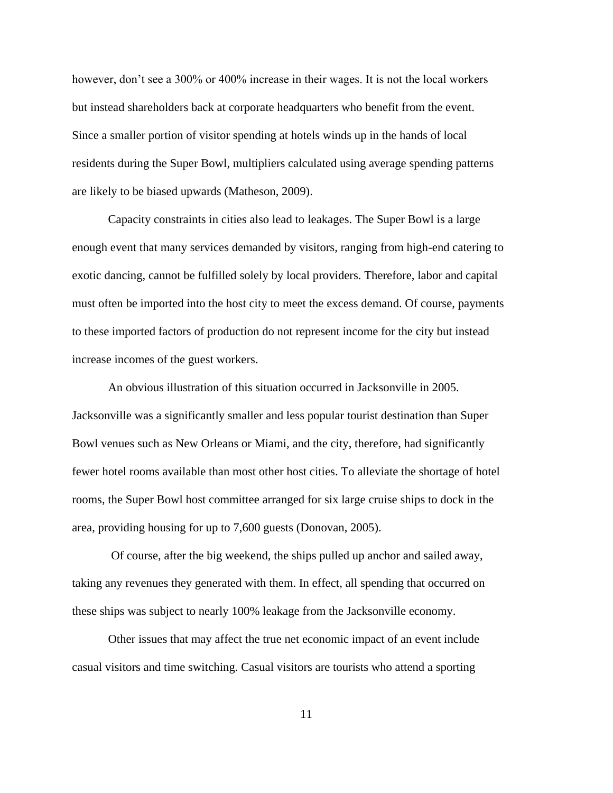however, don't see a 300% or 400% increase in their wages. It is not the local workers but instead shareholders back at corporate headquarters who benefit from the event. Since a smaller portion of visitor spending at hotels winds up in the hands of local residents during the Super Bowl, multipliers calculated using average spending patterns are likely to be biased upwards (Matheson, 2009).

Capacity constraints in cities also lead to leakages. The Super Bowl is a large enough event that many services demanded by visitors, ranging from high-end catering to exotic dancing, cannot be fulfilled solely by local providers. Therefore, labor and capital must often be imported into the host city to meet the excess demand. Of course, payments to these imported factors of production do not represent income for the city but instead increase incomes of the guest workers.

An obvious illustration of this situation occurred in Jacksonville in 2005. Jacksonville was a significantly smaller and less popular tourist destination than Super Bowl venues such as New Orleans or Miami, and the city, therefore, had significantly fewer hotel rooms available than most other host cities. To alleviate the shortage of hotel rooms, the Super Bowl host committee arranged for six large cruise ships to dock in the area, providing housing for up to 7,600 guests (Donovan, 2005).

Of course, after the big weekend, the ships pulled up anchor and sailed away, taking any revenues they generated with them. In effect, all spending that occurred on these ships was subject to nearly 100% leakage from the Jacksonville economy.

Other issues that may affect the true net economic impact of an event include casual visitors and time switching. Casual visitors are tourists who attend a sporting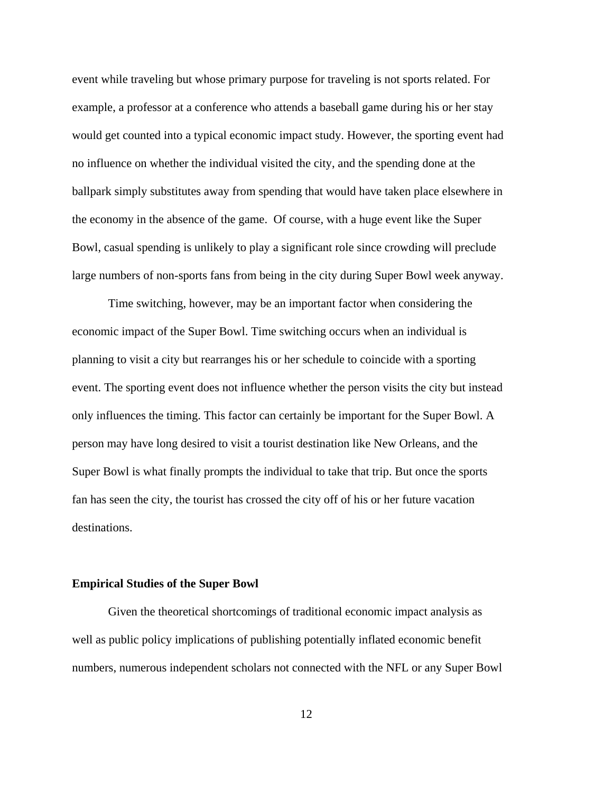event while traveling but whose primary purpose for traveling is not sports related. For example, a professor at a conference who attends a baseball game during his or her stay would get counted into a typical economic impact study. However, the sporting event had no influence on whether the individual visited the city, and the spending done at the ballpark simply substitutes away from spending that would have taken place elsewhere in the economy in the absence of the game. Of course, with a huge event like the Super Bowl, casual spending is unlikely to play a significant role since crowding will preclude large numbers of non-sports fans from being in the city during Super Bowl week anyway.

Time switching, however, may be an important factor when considering the economic impact of the Super Bowl. Time switching occurs when an individual is planning to visit a city but rearranges his or her schedule to coincide with a sporting event. The sporting event does not influence whether the person visits the city but instead only influences the timing. This factor can certainly be important for the Super Bowl. A person may have long desired to visit a tourist destination like New Orleans, and the Super Bowl is what finally prompts the individual to take that trip. But once the sports fan has seen the city, the tourist has crossed the city off of his or her future vacation destinations.

#### **Empirical Studies of the Super Bowl**

Given the theoretical shortcomings of traditional economic impact analysis as well as public policy implications of publishing potentially inflated economic benefit numbers, numerous independent scholars not connected with the NFL or any Super Bowl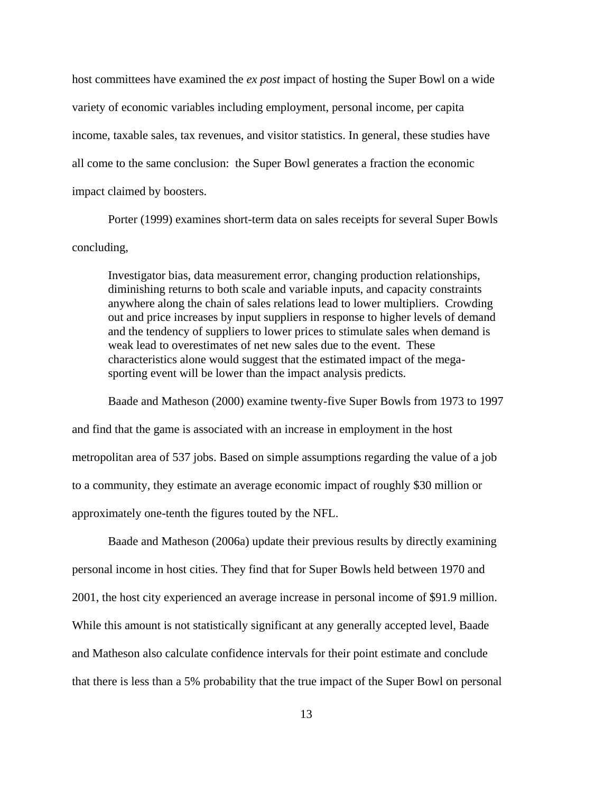host committees have examined the *ex post* impact of hosting the Super Bowl on a wide variety of economic variables including employment, personal income, per capita income, taxable sales, tax revenues, and visitor statistics. In general, these studies have all come to the same conclusion: the Super Bowl generates a fraction the economic impact claimed by boosters.

Porter (1999) examines short-term data on sales receipts for several Super Bowls concluding,

Investigator bias, data measurement error, changing production relationships, diminishing returns to both scale and variable inputs, and capacity constraints anywhere along the chain of sales relations lead to lower multipliers. Crowding out and price increases by input suppliers in response to higher levels of demand and the tendency of suppliers to lower prices to stimulate sales when demand is weak lead to overestimates of net new sales due to the event. These characteristics alone would suggest that the estimated impact of the megasporting event will be lower than the impact analysis predicts.

Baade and Matheson (2000) examine twenty-five Super Bowls from 1973 to 1997 and find that the game is associated with an increase in employment in the host metropolitan area of 537 jobs. Based on simple assumptions regarding the value of a job to a community, they estimate an average economic impact of roughly \$30 million or approximately one-tenth the figures touted by the NFL.

Baade and Matheson (2006a) update their previous results by directly examining personal income in host cities. They find that for Super Bowls held between 1970 and 2001, the host city experienced an average increase in personal income of \$91.9 million. While this amount is not statistically significant at any generally accepted level, Baade and Matheson also calculate confidence intervals for their point estimate and conclude that there is less than a 5% probability that the true impact of the Super Bowl on personal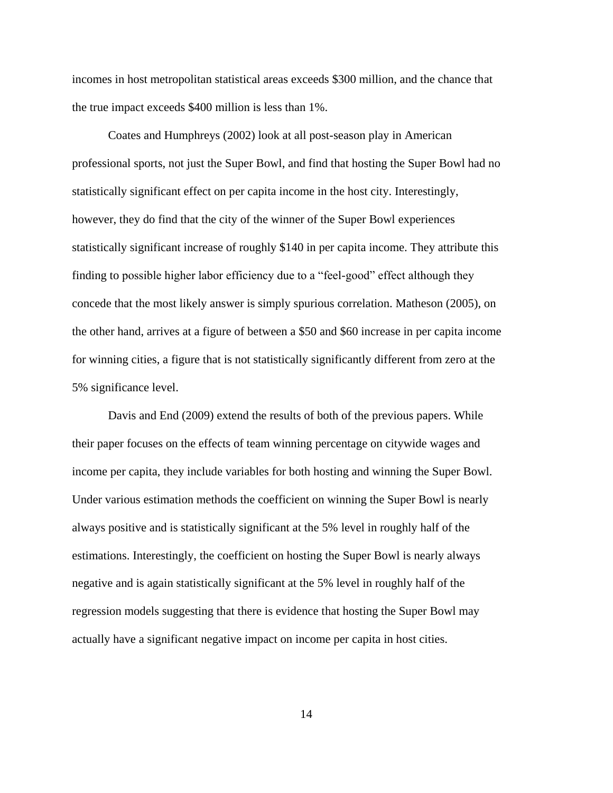incomes in host metropolitan statistical areas exceeds \$300 million, and the chance that the true impact exceeds \$400 million is less than 1%.

Coates and Humphreys (2002) look at all post-season play in American professional sports, not just the Super Bowl, and find that hosting the Super Bowl had no statistically significant effect on per capita income in the host city. Interestingly, however, they do find that the city of the winner of the Super Bowl experiences statistically significant increase of roughly \$140 in per capita income. They attribute this finding to possible higher labor efficiency due to a "feel-good" effect although they concede that the most likely answer is simply spurious correlation. Matheson (2005), on the other hand, arrives at a figure of between a \$50 and \$60 increase in per capita income for winning cities, a figure that is not statistically significantly different from zero at the 5% significance level.

Davis and End (2009) extend the results of both of the previous papers. While their paper focuses on the effects of team winning percentage on citywide wages and income per capita, they include variables for both hosting and winning the Super Bowl. Under various estimation methods the coefficient on winning the Super Bowl is nearly always positive and is statistically significant at the 5% level in roughly half of the estimations. Interestingly, the coefficient on hosting the Super Bowl is nearly always negative and is again statistically significant at the 5% level in roughly half of the regression models suggesting that there is evidence that hosting the Super Bowl may actually have a significant negative impact on income per capita in host cities.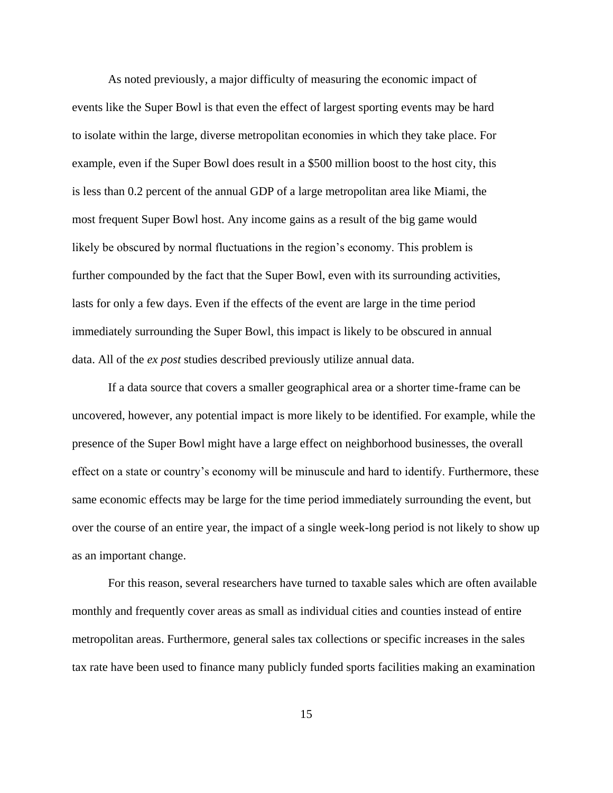As noted previously, a major difficulty of measuring the economic impact of events like the Super Bowl is that even the effect of largest sporting events may be hard to isolate within the large, diverse metropolitan economies in which they take place. For example, even if the Super Bowl does result in a \$500 million boost to the host city, this is less than 0.2 percent of the annual GDP of a large metropolitan area like Miami, the most frequent Super Bowl host. Any income gains as a result of the big game would likely be obscured by normal fluctuations in the region's economy. This problem is further compounded by the fact that the Super Bowl, even with its surrounding activities, lasts for only a few days. Even if the effects of the event are large in the time period immediately surrounding the Super Bowl, this impact is likely to be obscured in annual data. All of the *ex post* studies described previously utilize annual data.

If a data source that covers a smaller geographical area or a shorter time-frame can be uncovered, however, any potential impact is more likely to be identified. For example, while the presence of the Super Bowl might have a large effect on neighborhood businesses, the overall effect on a state or country"s economy will be minuscule and hard to identify. Furthermore, these same economic effects may be large for the time period immediately surrounding the event, but over the course of an entire year, the impact of a single week-long period is not likely to show up as an important change.

For this reason, several researchers have turned to taxable sales which are often available monthly and frequently cover areas as small as individual cities and counties instead of entire metropolitan areas. Furthermore, general sales tax collections or specific increases in the sales tax rate have been used to finance many publicly funded sports facilities making an examination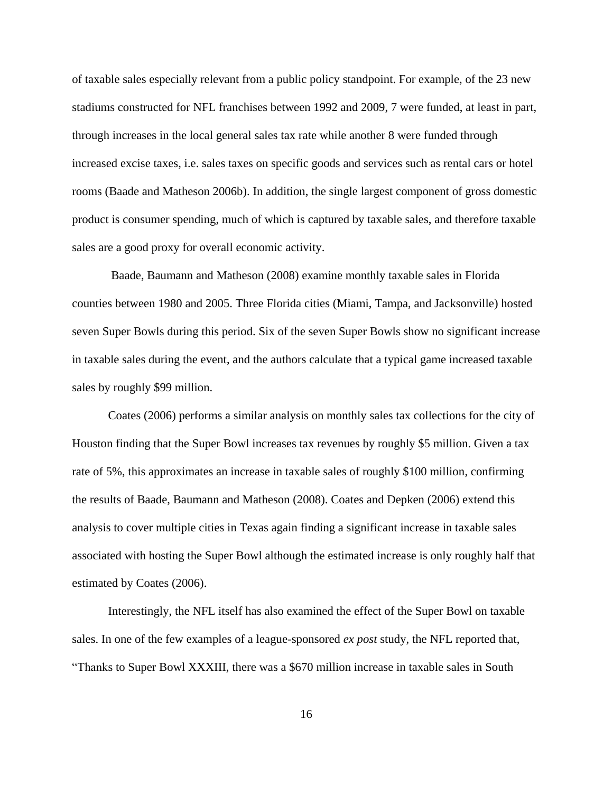of taxable sales especially relevant from a public policy standpoint. For example, of the 23 new stadiums constructed for NFL franchises between 1992 and 2009, 7 were funded, at least in part, through increases in the local general sales tax rate while another 8 were funded through increased excise taxes, i.e. sales taxes on specific goods and services such as rental cars or hotel rooms (Baade and Matheson 2006b). In addition, the single largest component of gross domestic product is consumer spending, much of which is captured by taxable sales, and therefore taxable sales are a good proxy for overall economic activity.

Baade, Baumann and Matheson (2008) examine monthly taxable sales in Florida counties between 1980 and 2005. Three Florida cities (Miami, Tampa, and Jacksonville) hosted seven Super Bowls during this period. Six of the seven Super Bowls show no significant increase in taxable sales during the event, and the authors calculate that a typical game increased taxable sales by roughly \$99 million.

Coates (2006) performs a similar analysis on monthly sales tax collections for the city of Houston finding that the Super Bowl increases tax revenues by roughly \$5 million. Given a tax rate of 5%, this approximates an increase in taxable sales of roughly \$100 million, confirming the results of Baade, Baumann and Matheson (2008). Coates and Depken (2006) extend this analysis to cover multiple cities in Texas again finding a significant increase in taxable sales associated with hosting the Super Bowl although the estimated increase is only roughly half that estimated by Coates (2006).

Interestingly, the NFL itself has also examined the effect of the Super Bowl on taxable sales. In one of the few examples of a league-sponsored *ex post* study, the NFL reported that, "Thanks to Super Bowl XXXIII, there was a \$670 million increase in taxable sales in South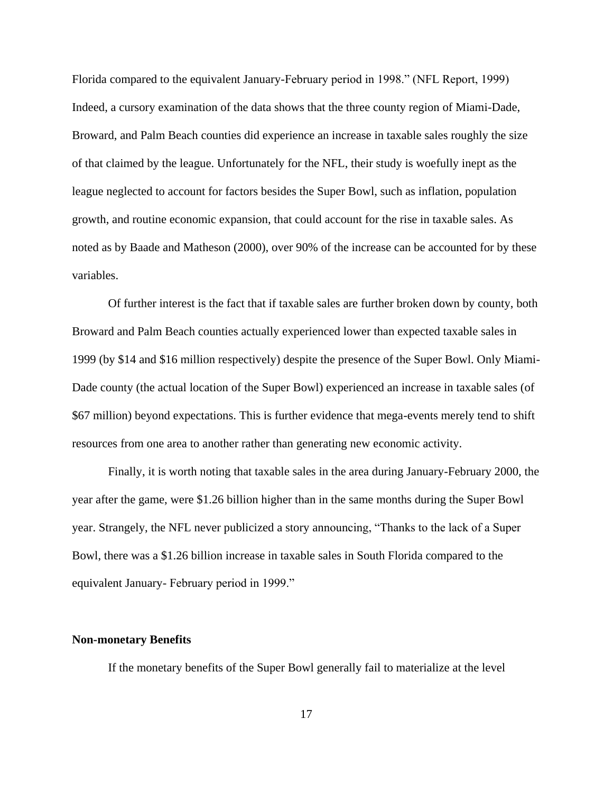Florida compared to the equivalent January-February period in 1998." (NFL Report, 1999) Indeed, a cursory examination of the data shows that the three county region of Miami-Dade, Broward, and Palm Beach counties did experience an increase in taxable sales roughly the size of that claimed by the league. Unfortunately for the NFL, their study is woefully inept as the league neglected to account for factors besides the Super Bowl, such as inflation, population growth, and routine economic expansion, that could account for the rise in taxable sales. As noted as by Baade and Matheson (2000), over 90% of the increase can be accounted for by these variables.

Of further interest is the fact that if taxable sales are further broken down by county, both Broward and Palm Beach counties actually experienced lower than expected taxable sales in 1999 (by \$14 and \$16 million respectively) despite the presence of the Super Bowl. Only Miami-Dade county (the actual location of the Super Bowl) experienced an increase in taxable sales (of \$67 million) beyond expectations. This is further evidence that mega-events merely tend to shift resources from one area to another rather than generating new economic activity.

Finally, it is worth noting that taxable sales in the area during January-February 2000, the year after the game, were \$1.26 billion higher than in the same months during the Super Bowl year. Strangely, the NFL never publicized a story announcing, "Thanks to the lack of a Super Bowl, there was a \$1.26 billion increase in taxable sales in South Florida compared to the equivalent January- February period in 1999."

#### **Non-monetary Benefits**

If the monetary benefits of the Super Bowl generally fail to materialize at the level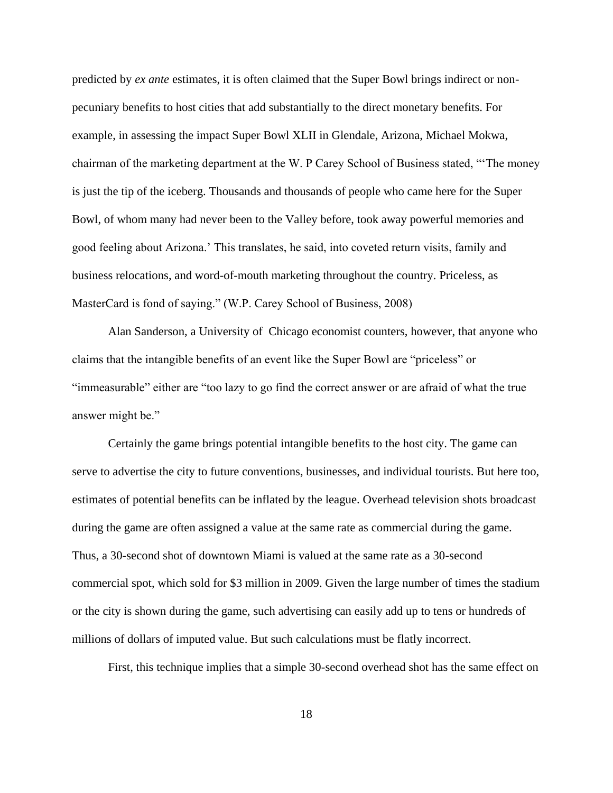predicted by *ex ante* estimates, it is often claimed that the Super Bowl brings indirect or nonpecuniary benefits to host cities that add substantially to the direct monetary benefits. For example, in assessing the impact Super Bowl XLII in Glendale, Arizona, Michael Mokwa, chairman of the marketing department at the W. P Carey School of Business stated, ""The money is just the tip of the iceberg. Thousands and thousands of people who came here for the Super Bowl, of whom many had never been to the Valley before, took away powerful memories and good feeling about Arizona." This translates, he said, into coveted return visits, family and business relocations, and word-of-mouth marketing throughout the country. Priceless, as MasterCard is fond of saying." (W.P. Carey School of Business, 2008)

Alan Sanderson, a University of Chicago economist counters, however, that anyone who claims that the intangible benefits of an event like the Super Bowl are "priceless" or "immeasurable" either are "too lazy to go find the correct answer or are afraid of what the true answer might be."

Certainly the game brings potential intangible benefits to the host city. The game can serve to advertise the city to future conventions, businesses, and individual tourists. But here too, estimates of potential benefits can be inflated by the league. Overhead television shots broadcast during the game are often assigned a value at the same rate as commercial during the game. Thus, a 30-second shot of downtown Miami is valued at the same rate as a 30-second commercial spot, which sold for \$3 million in 2009. Given the large number of times the stadium or the city is shown during the game, such advertising can easily add up to tens or hundreds of millions of dollars of imputed value. But such calculations must be flatly incorrect.

First, this technique implies that a simple 30-second overhead shot has the same effect on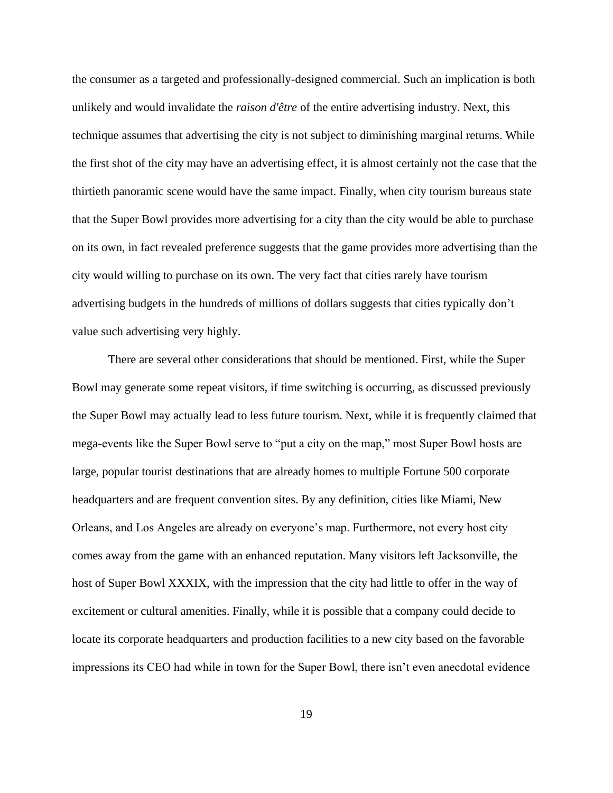the consumer as a targeted and professionally-designed commercial. Such an implication is both unlikely and would invalidate the *raison d'être* of the entire advertising industry. Next, this technique assumes that advertising the city is not subject to diminishing marginal returns. While the first shot of the city may have an advertising effect, it is almost certainly not the case that the thirtieth panoramic scene would have the same impact. Finally, when city tourism bureaus state that the Super Bowl provides more advertising for a city than the city would be able to purchase on its own, in fact revealed preference suggests that the game provides more advertising than the city would willing to purchase on its own. The very fact that cities rarely have tourism advertising budgets in the hundreds of millions of dollars suggests that cities typically don"t value such advertising very highly.

There are several other considerations that should be mentioned. First, while the Super Bowl may generate some repeat visitors, if time switching is occurring, as discussed previously the Super Bowl may actually lead to less future tourism. Next, while it is frequently claimed that mega-events like the Super Bowl serve to "put a city on the map," most Super Bowl hosts are large, popular tourist destinations that are already homes to multiple Fortune 500 corporate headquarters and are frequent convention sites. By any definition, cities like Miami, New Orleans, and Los Angeles are already on everyone"s map. Furthermore, not every host city comes away from the game with an enhanced reputation. Many visitors left Jacksonville, the host of Super Bowl XXXIX, with the impression that the city had little to offer in the way of excitement or cultural amenities. Finally, while it is possible that a company could decide to locate its corporate headquarters and production facilities to a new city based on the favorable impressions its CEO had while in town for the Super Bowl, there isn"t even anecdotal evidence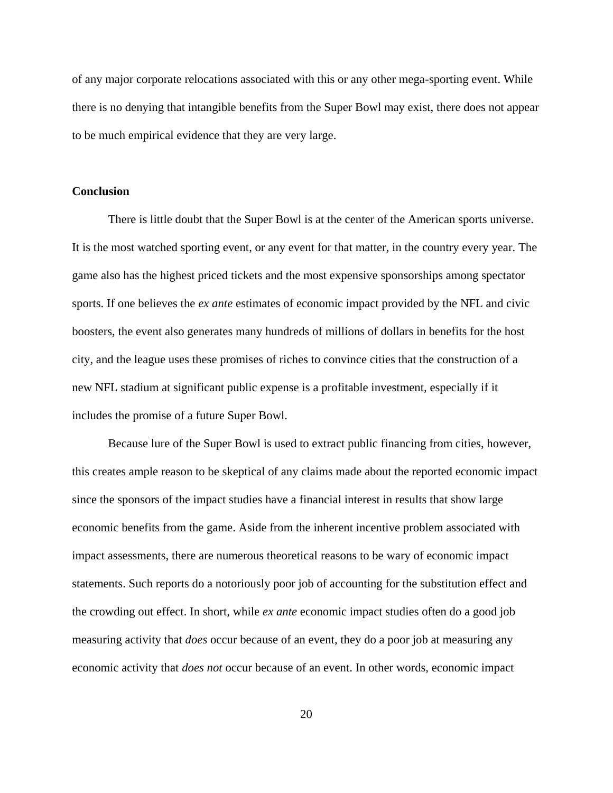of any major corporate relocations associated with this or any other mega-sporting event. While there is no denying that intangible benefits from the Super Bowl may exist, there does not appear to be much empirical evidence that they are very large.

#### **Conclusion**

There is little doubt that the Super Bowl is at the center of the American sports universe. It is the most watched sporting event, or any event for that matter, in the country every year. The game also has the highest priced tickets and the most expensive sponsorships among spectator sports. If one believes the *ex ante* estimates of economic impact provided by the NFL and civic boosters, the event also generates many hundreds of millions of dollars in benefits for the host city, and the league uses these promises of riches to convince cities that the construction of a new NFL stadium at significant public expense is a profitable investment, especially if it includes the promise of a future Super Bowl.

Because lure of the Super Bowl is used to extract public financing from cities, however, this creates ample reason to be skeptical of any claims made about the reported economic impact since the sponsors of the impact studies have a financial interest in results that show large economic benefits from the game. Aside from the inherent incentive problem associated with impact assessments, there are numerous theoretical reasons to be wary of economic impact statements. Such reports do a notoriously poor job of accounting for the substitution effect and the crowding out effect. In short, while *ex ante* economic impact studies often do a good job measuring activity that *does* occur because of an event, they do a poor job at measuring any economic activity that *does not* occur because of an event. In other words, economic impact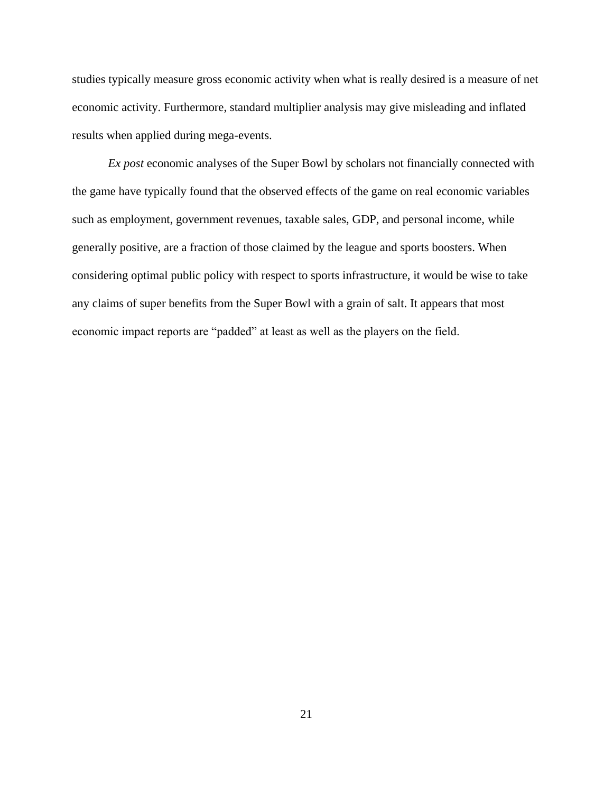studies typically measure gross economic activity when what is really desired is a measure of net economic activity. Furthermore, standard multiplier analysis may give misleading and inflated results when applied during mega-events.

*Ex post* economic analyses of the Super Bowl by scholars not financially connected with the game have typically found that the observed effects of the game on real economic variables such as employment, government revenues, taxable sales, GDP, and personal income, while generally positive, are a fraction of those claimed by the league and sports boosters. When considering optimal public policy with respect to sports infrastructure, it would be wise to take any claims of super benefits from the Super Bowl with a grain of salt. It appears that most economic impact reports are "padded" at least as well as the players on the field.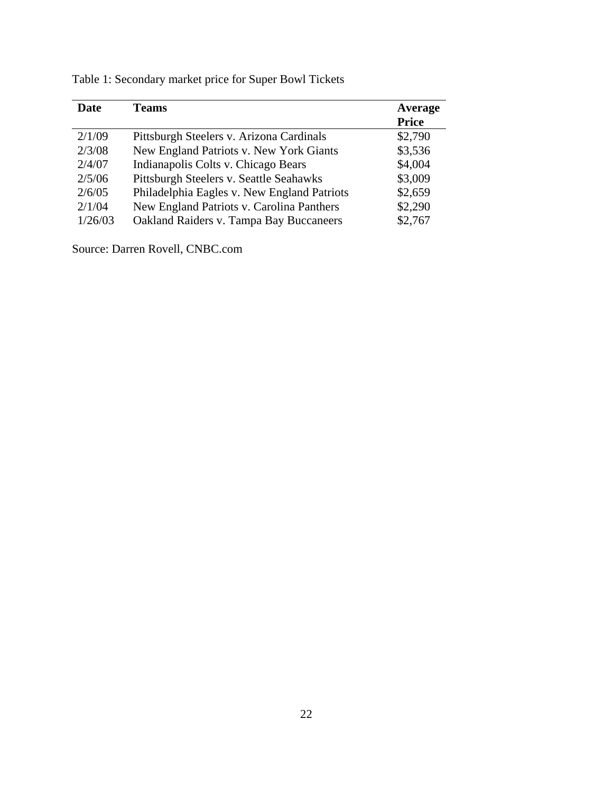| Date    | <b>Teams</b>                                | Average      |
|---------|---------------------------------------------|--------------|
|         |                                             | <b>Price</b> |
| 2/1/09  | Pittsburgh Steelers v. Arizona Cardinals    | \$2,790      |
| 2/3/08  | New England Patriots v. New York Giants     | \$3,536      |
| 2/4/07  | Indianapolis Colts v. Chicago Bears         | \$4,004      |
| 2/5/06  | Pittsburgh Steelers v. Seattle Seahawks     | \$3,009      |
| 2/6/05  | Philadelphia Eagles v. New England Patriots | \$2,659      |
| 2/1/04  | New England Patriots v. Carolina Panthers   | \$2,290      |
| 1/26/03 | Oakland Raiders v. Tampa Bay Buccaneers     | \$2,767      |

Table 1: Secondary market price for Super Bowl Tickets

Source: Darren Rovell, CNBC.com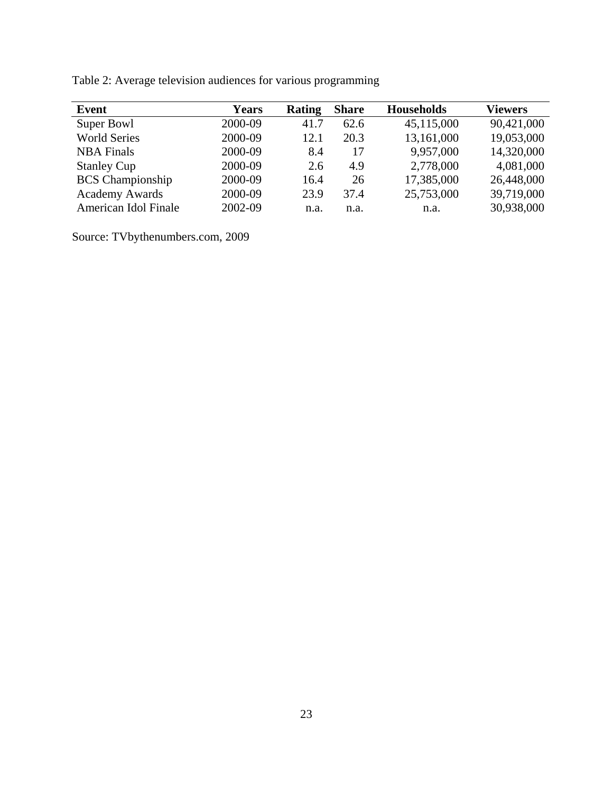| Event                   | <b>Years</b> | Rating | <b>Share</b> | <b>Households</b> | <b>Viewers</b> |
|-------------------------|--------------|--------|--------------|-------------------|----------------|
| Super Bowl              | 2000-09      | 41.7   | 62.6         | 45,115,000        | 90,421,000     |
| <b>World Series</b>     | 2000-09      | 12.1   | 20.3         | 13,161,000        | 19,053,000     |
| <b>NBA</b> Finals       | 2000-09      | 8.4    | 17           | 9,957,000         | 14,320,000     |
| <b>Stanley Cup</b>      | 2000-09      | 2.6    | 4.9          | 2,778,000         | 4,081,000      |
| <b>BCS</b> Championship | 2000-09      | 16.4   | 26           | 17,385,000        | 26,448,000     |
| <b>Academy Awards</b>   | 2000-09      | 23.9   | 37.4         | 25,753,000        | 39,719,000     |
| American Idol Finale    | 2002-09      | n.a.   | n.a.         | n.a.              | 30,938,000     |

Table 2: Average television audiences for various programming

Source: TVbythenumbers.com, 2009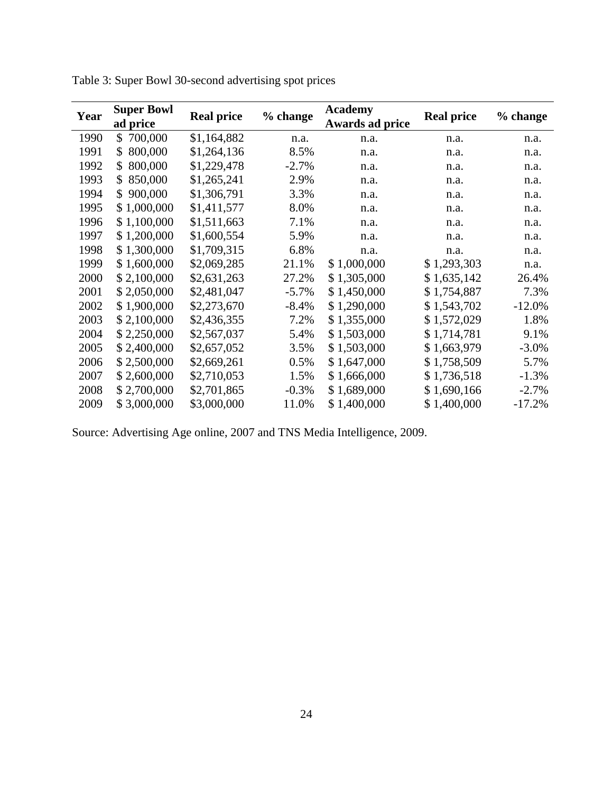| Year | <b>Super Bowl</b><br>ad price | <b>Real price</b> | % change | <b>Academy</b><br>Awards ad price | <b>Real price</b> | % change |
|------|-------------------------------|-------------------|----------|-----------------------------------|-------------------|----------|
| 1990 | 700,000<br>\$                 | \$1,164,882       | n.a.     | n.a.                              | n.a.              | n.a.     |
| 1991 | 800,000<br>\$                 | \$1,264,136       | 8.5%     | n.a.                              | n.a.              | n.a.     |
| 1992 | 800,000<br>$\mathbb{S}$       | \$1,229,478       | $-2.7%$  | n.a.                              | n.a.              | n.a.     |
| 1993 | 850,000<br>\$                 | \$1,265,241       | 2.9%     | n.a.                              | n.a.              | n.a.     |
| 1994 | 900,000<br>\$                 | \$1,306,791       | 3.3%     | n.a.                              | n.a.              | n.a.     |
| 1995 | \$1,000,000                   | \$1,411,577       | 8.0%     | n.a.                              | n.a.              | n.a.     |
| 1996 | \$1,100,000                   | \$1,511,663       | 7.1%     | n.a.                              | n.a.              | n.a.     |
| 1997 | \$1,200,000                   | \$1,600,554       | 5.9%     | n.a.                              | n.a.              | n.a.     |
| 1998 | \$1,300,000                   | \$1,709,315       | 6.8%     | n.a.                              | n.a.              | n.a.     |
| 1999 | \$1,600,000                   | \$2,069,285       | 21.1%    | \$1,000,000                       | \$1,293,303       | n.a.     |
| 2000 | \$2,100,000                   | \$2,631,263       | 27.2%    | \$1,305,000                       | \$1,635,142       | 26.4%    |
| 2001 | \$2,050,000                   | \$2,481,047       | $-5.7\%$ | \$1,450,000                       | \$1,754,887       | 7.3%     |
| 2002 | \$1,900,000                   | \$2,273,670       | $-8.4%$  | \$1,290,000                       | \$1,543,702       | $-12.0%$ |
| 2003 | \$2,100,000                   | \$2,436,355       | 7.2%     | \$1,355,000                       | \$1,572,029       | 1.8%     |
| 2004 | \$2,250,000                   | \$2,567,037       | 5.4%     | \$1,503,000                       | \$1,714,781       | 9.1%     |
| 2005 | \$2,400,000                   | \$2,657,052       | 3.5%     | \$1,503,000                       | \$1,663,979       | $-3.0\%$ |
| 2006 | \$2,500,000                   | \$2,669,261       | 0.5%     | \$1,647,000                       | \$1,758,509       | 5.7%     |
| 2007 | \$2,600,000                   | \$2,710,053       | 1.5%     | \$1,666,000                       | \$1,736,518       | $-1.3%$  |
| 2008 | \$2,700,000                   | \$2,701,865       | $-0.3\%$ | \$1,689,000                       | \$1,690,166       | $-2.7%$  |
| 2009 | \$3,000,000                   | \$3,000,000       | 11.0%    | \$1,400,000                       | \$1,400,000       | $-17.2%$ |

Table 3: Super Bowl 30-second advertising spot prices

Source: Advertising Age online, 2007 and TNS Media Intelligence, 2009.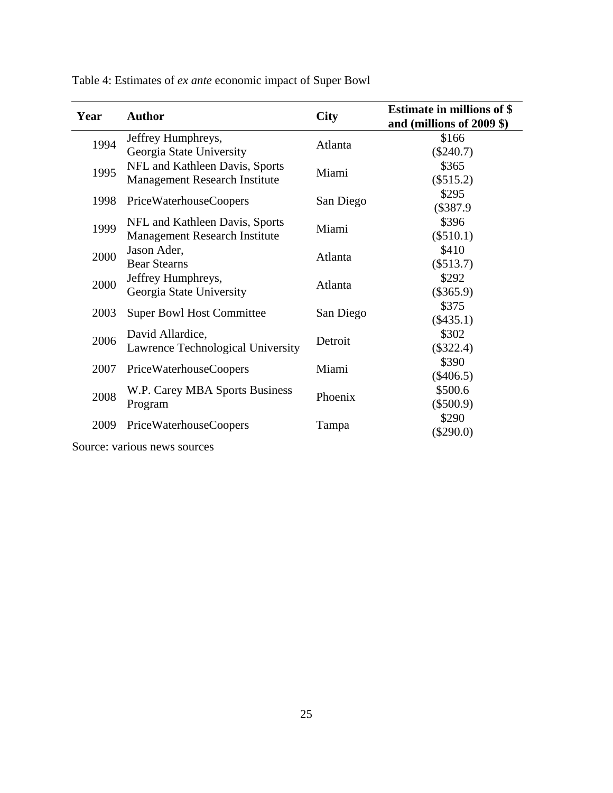| Year                         | <b>Author</b>                                                          | <b>City</b> | <b>Estimate in millions of \$</b><br>and (millions of 2009 \$) |  |
|------------------------------|------------------------------------------------------------------------|-------------|----------------------------------------------------------------|--|
| 1994                         | Jeffrey Humphreys,<br>Georgia State University                         | Atlanta     | \$166<br>$(\$240.7)$                                           |  |
| 1995                         | NFL and Kathleen Davis, Sports<br><b>Management Research Institute</b> | Miami       | \$365<br>$(\$515.2)$                                           |  |
| 1998                         | <b>PriceWaterhouseCoopers</b>                                          | San Diego   | \$295<br>(\$387.9                                              |  |
| 1999                         | NFL and Kathleen Davis, Sports<br><b>Management Research Institute</b> | Miami       | \$396<br>$(\$510.1)$                                           |  |
| 2000                         | Jason Ader,<br><b>Bear Stearns</b>                                     | Atlanta     | \$410<br>$(\$513.7)$                                           |  |
| 2000                         | Jeffrey Humphreys,<br>Georgia State University                         | Atlanta     | \$292<br>$(\$365.9)$                                           |  |
| 2003                         | <b>Super Bowl Host Committee</b>                                       | San Diego   | \$375<br>$(\$435.1)$                                           |  |
| 2006                         | David Allardice,<br>Lawrence Technological University                  | Detroit     | \$302<br>(\$322.4)                                             |  |
| 2007                         | PriceWaterhouseCoopers                                                 | Miami       | \$390<br>$(\$406.5)$                                           |  |
| 2008                         | W.P. Carey MBA Sports Business<br>Program                              | Phoenix     | \$500.6<br>$(\$500.9)$                                         |  |
| 2009                         | PriceWaterhouseCoopers                                                 | Tampa       | \$290<br>$(\$290.0)$                                           |  |
| Source: various news sources |                                                                        |             |                                                                |  |

Table 4: Estimates of *ex ante* economic impact of Super Bowl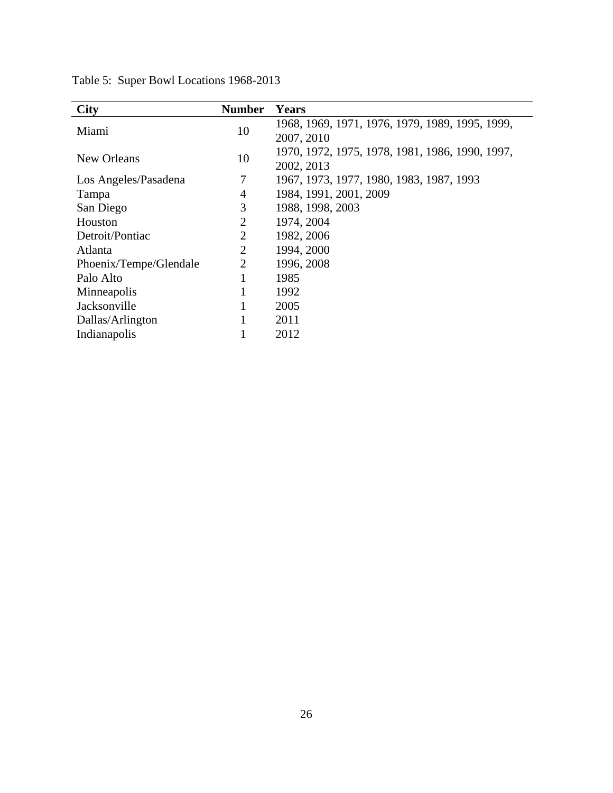| <b>City</b>            | <b>Number</b>  | Years                                           |
|------------------------|----------------|-------------------------------------------------|
| Miami                  | 10             | 1968, 1969, 1971, 1976, 1979, 1989, 1995, 1999, |
|                        |                | 2007, 2010                                      |
| New Orleans            | 10             | 1970, 1972, 1975, 1978, 1981, 1986, 1990, 1997, |
|                        |                | 2002, 2013                                      |
| Los Angeles/Pasadena   | 7              | 1967, 1973, 1977, 1980, 1983, 1987, 1993        |
| Tampa                  | 4              | 1984, 1991, 2001, 2009                          |
| San Diego              | 3              | 1988, 1998, 2003                                |
| Houston                | 2              | 1974, 2004                                      |
| Detroit/Pontiac        | $\overline{2}$ | 1982, 2006                                      |
| Atlanta                | $\overline{2}$ | 1994, 2000                                      |
| Phoenix/Tempe/Glendale | $\overline{2}$ | 1996, 2008                                      |
| Palo Alto              |                | 1985                                            |
| Minneapolis            |                | 1992                                            |
| Jacksonville           |                | 2005                                            |
| Dallas/Arlington       |                | 2011                                            |
| Indianapolis           |                | 2012                                            |

Table 5: Super Bowl Locations 1968-2013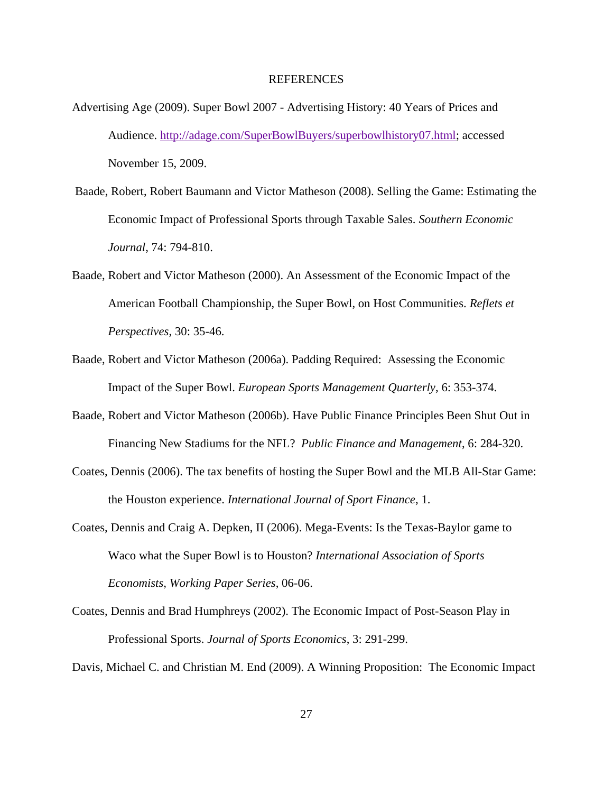#### REFERENCES

- Advertising Age (2009). Super Bowl 2007 Advertising History: 40 Years of Prices and Audience. [http://adage.com/SuperBowlBuyers/superbowlhistory07.html;](http://adage.com/SuperBowlBuyers/superbowlhistory07.html) accessed November 15, 2009.
- Baade, Robert, Robert Baumann and Victor Matheson (2008). Selling the Game: Estimating the Economic Impact of Professional Sports through Taxable Sales. *Southern Economic Journal*, 74: 794-810.
- Baade, Robert and Victor Matheson (2000). An Assessment of the Economic Impact of the American Football Championship, the Super Bowl, on Host Communities. *Reflets et Perspectives*, 30: 35-46.
- Baade, Robert and Victor Matheson (2006a). Padding Required: Assessing the Economic Impact of the Super Bowl. *European Sports Management Quarterly*, 6: 353-374.
- Baade, Robert and Victor Matheson (2006b). Have Public Finance Principles Been Shut Out in Financing New Stadiums for the NFL? *Public Finance and Management*, 6: 284-320.
- Coates, Dennis (2006). The tax benefits of hosting the Super Bowl and the MLB All-Star Game: the Houston experience. *International Journal of Sport Finance*, 1.
- Coates, Dennis and Craig A. Depken, II (2006). [Mega-Events: Is the Texas-Baylor game to](http://ideas.repec.org/p/spe/wpaper/0606.html)  [Waco what the Super Bowl is to Houston?](http://ideas.repec.org/p/spe/wpaper/0606.html) *International Association of Sports Economists, Working Paper Series*, 06-06.
- Coates, Dennis and Brad Humphreys (2002). The Economic Impact of Post-Season Play in Professional Sports. *Journal of Sports Economics*, 3: 291-299.

Davis, Michael C. and Christian M. End (2009). A Winning Proposition: The Economic Impact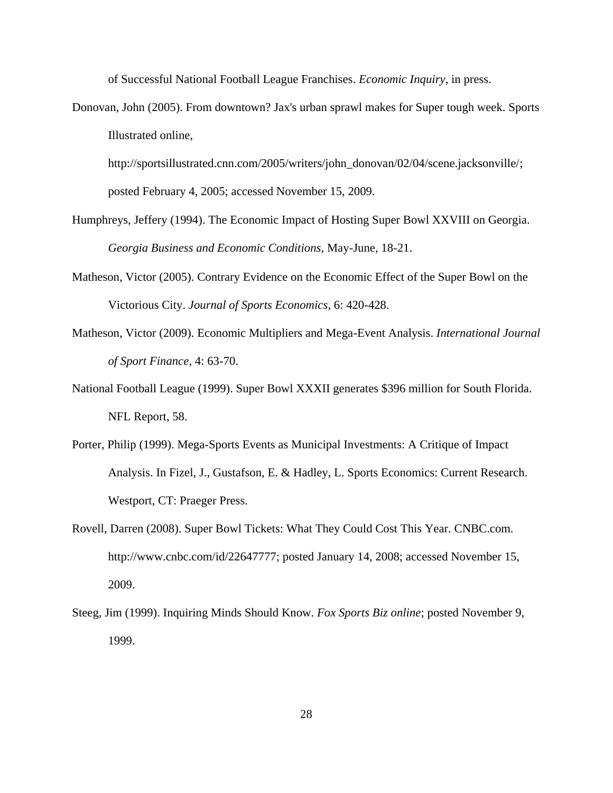of Successful National Football League Franchises. *Economic Inquiry*, in press.

Donovan, John (2005). From downtown? Jax's urban sprawl makes for Super tough week. Sports Illustrated online,

http://sportsillustrated.cnn.com/2005/writers/john\_donovan/02/04/scene.jacksonville/; posted February 4, 2005; accessed November 15, 2009.

- Humphreys, Jeffery (1994). The Economic Impact of Hosting Super Bowl XXVIII on Georgia. *Georgia Business and Economic Conditions*, May-June, 18-21.
- Matheson, Victor (2005). Contrary Evidence on the Economic Effect of the Super Bowl on the Victorious City. *Journal of Sports Economics*, 6: 420-428.
- Matheson, Victor (2009). Economic Multipliers and Mega-Event Analysis. *International Journal of Sport Finance*, 4: 63-70.
- National Football League (1999). Super Bowl XXXII generates \$396 million for South Florida. NFL Report, 58.
- Porter, Philip (1999). Mega-Sports Events as Municipal Investments: A Critique of Impact Analysis. In Fizel, J., Gustafson, E. & Hadley, L. Sports Economics: Current Research. Westport, CT: Praeger Press.
- Rovell, Darren (2008). Super Bowl Tickets: What They Could Cost This Year. CNBC.com. [http://www.cnbc.com/id/22647777;](http://www.cnbc.com/id/22647777) posted January 14, 2008; accessed November 15, 2009.
- Steeg, Jim (1999). Inquiring Minds Should Know. *Fox Sports Biz online*; posted November 9, 1999.